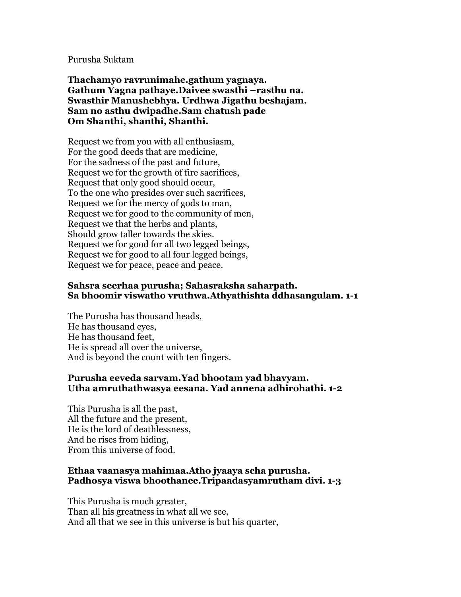Purusha Suktam

Thachamyo ravrunimahe.gathum yagnaya. Gathum Yagna pathaye.Daivee swasthi –rasthu na. Swasthir Manushebhya. Urdhwa Jigathu beshajam. Sam no asthu dwipadhe.Sam chatush pade Om Shanthi, shanthi, Shanthi.

Request we from you with all enthusiasm, For the good deeds that are medicine, For the sadness of the past and future, Request we for the growth of fire sacrifices, Request that only good should occur, To the one who presides over such sacrifices, Request we for the mercy of gods to man, Request we for good to the community of men, Request we that the herbs and plants, Should grow taller towards the skies. Request we for good for all two legged beings, Request we for good to all four legged beings, Request we for peace, peace and peace.

### Sahsra seerhaa purusha; Sahasraksha saharpath. Sa bhoomir viswatho vruthwa.Athyathishta ddhasangulam. 1-1

The Purusha has thousand heads, He has thousand eyes, He has thousand feet, He is spread all over the universe, And is beyond the count with ten fingers.

### Purusha eeveda sarvam.Yad bhootam yad bhavyam. Utha amruthathwasya eesana. Yad annena adhirohathi. 1-2

This Purusha is all the past, All the future and the present, He is the lord of deathlessness, And he rises from hiding, From this universe of food.

### Ethaa vaanasya mahimaa.Atho jyaaya scha purusha. Padhosya viswa bhoothanee.Tripaadasyamrutham divi. 1-3

This Purusha is much greater, Than all his greatness in what all we see, And all that we see in this universe is but his quarter,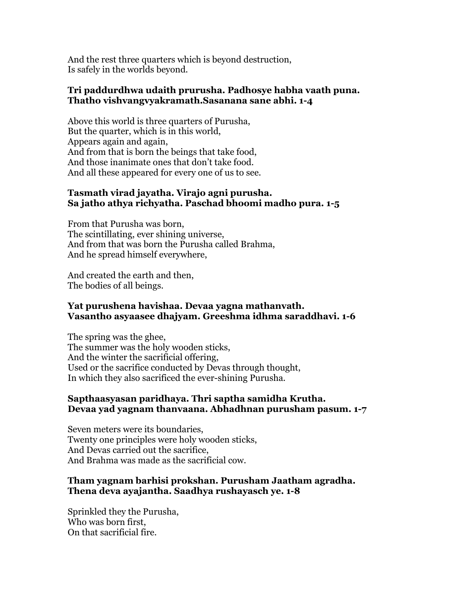And the rest three quarters which is beyond destruction, Is safely in the worlds beyond.

### Tri paddurdhwa udaith prurusha. Padhosye habha vaath puna. Thatho vishvangvyakramath.Sasanana sane abhi. 1-4

Above this world is three quarters of Purusha, But the quarter, which is in this world, Appears again and again, And from that is born the beings that take food, And those inanimate ones that don't take food. And all these appeared for every one of us to see.

# Tasmath virad jayatha. Virajo agni purusha. Sa jatho athya richyatha. Paschad bhoomi madho pura. 1-5

From that Purusha was born, The scintillating, ever shining universe, And from that was born the Purusha called Brahma, And he spread himself everywhere,

And created the earth and then, The bodies of all beings.

### Yat purushena havishaa. Devaa yagna mathanvath. Vasantho asyaasee dhajyam. Greeshma idhma saraddhavi. 1-6

The spring was the ghee, The summer was the holy wooden sticks, And the winter the sacrificial offering, Used or the sacrifice conducted by Devas through thought, In which they also sacrificed the ever-shining Purusha.

### Sapthaasyasan paridhaya. Thri saptha samidha Krutha. Devaa yad yagnam thanvaana. Abhadhnan purusham pasum. 1-7

Seven meters were its boundaries, Twenty one principles were holy wooden sticks, And Devas carried out the sacrifice, And Brahma was made as the sacrificial cow.

### Tham yagnam barhisi prokshan. Purusham Jaatham agradha. Thena deva ayajantha. Saadhya rushayasch ye. 1-8

Sprinkled they the Purusha, Who was born first, On that sacrificial fire.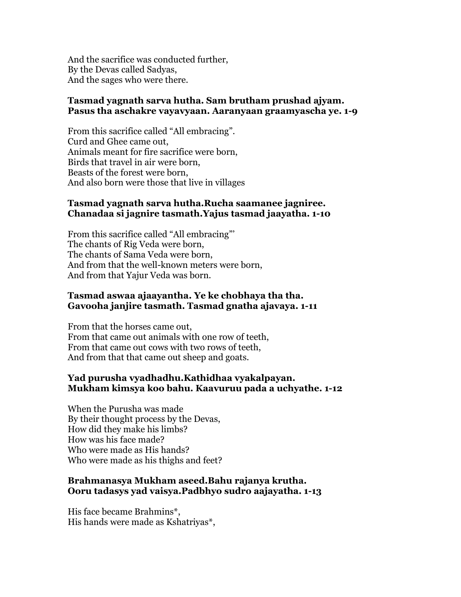And the sacrifice was conducted further, By the Devas called Sadyas, And the sages who were there.

### Tasmad yagnath sarva hutha. Sam brutham prushad ajyam. Pasus tha aschakre vayavyaan. Aaranyaan graamyascha ye. 1-9

From this sacrifice called "All embracing". Curd and Ghee came out, Animals meant for fire sacrifice were born, Birds that travel in air were born, Beasts of the forest were born, And also born were those that live in villages

### Tasmad yagnath sarva hutha.Rucha saamanee jagniree. Chanadaa si jagnire tasmath.Yajus tasmad jaayatha. 1-10

From this sacrifice called "All embracing"' The chants of Rig Veda were born, The chants of Sama Veda were born, And from that the well-known meters were born, And from that Yajur Veda was born.

# Tasmad aswaa ajaayantha. Ye ke chobhaya tha tha. Gavooha janjire tasmath. Tasmad gnatha ajavaya. 1-11

From that the horses came out, From that came out animals with one row of teeth, From that came out cows with two rows of teeth, And from that that came out sheep and goats.

# Yad purusha vyadhadhu.Kathidhaa vyakalpayan. Mukham kimsya koo bahu. Kaavuruu pada a uchyathe. 1-12

When the Purusha was made By their thought process by the Devas, How did they make his limbs? How was his face made? Who were made as His hands? Who were made as his thighs and feet?

### Brahmanasya Mukham aseed.Bahu rajanya krutha. Ooru tadasys yad vaisya.Padbhyo sudro aajayatha. 1-13

His face became Brahmins\*, His hands were made as Kshatriyas\*,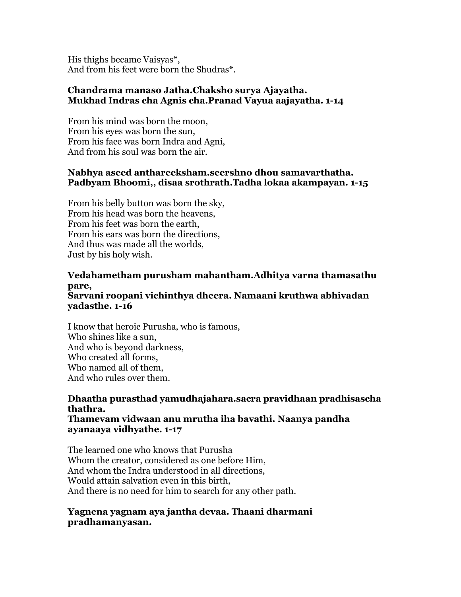His thighs became Vaisyas\*, And from his feet were born the Shudras\*.

### Chandrama manaso Jatha.Chaksho surya Ajayatha. Mukhad Indras cha Agnis cha.Pranad Vayua aajayatha. 1-14

From his mind was born the moon, From his eyes was born the sun, From his face was born Indra and Agni, And from his soul was born the air.

# Nabhya aseed anthareeksham.seershno dhou samavarthatha. Padbyam Bhoomi,, disaa srothrath.Tadha lokaa akampayan. 1-15

From his belly button was born the sky, From his head was born the heavens, From his feet was born the earth, From his ears was born the directions, And thus was made all the worlds, Just by his holy wish.

# Vedahametham purusham mahantham.Adhitya varna thamasathu pare,

# Sarvani roopani vichinthya dheera. Namaani kruthwa abhivadan yadasthe. 1-16

I know that heroic Purusha, who is famous, Who shines like a sun, And who is beyond darkness, Who created all forms, Who named all of them, And who rules over them.

### Dhaatha purasthad yamudhajahara.sacra pravidhaan pradhisascha thathra. Thamevam vidwaan anu mrutha iha bavathi. Naanya pandha ayanaaya vidhyathe. 1-17

The learned one who knows that Purusha Whom the creator, considered as one before Him, And whom the Indra understood in all directions, Would attain salvation even in this birth, And there is no need for him to search for any other path.

# Yagnena yagnam aya jantha devaa. Thaani dharmani pradhamanyasan.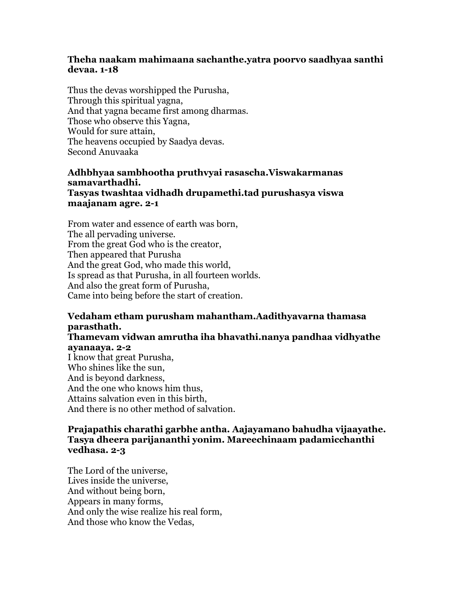# Theha naakam mahimaana sachanthe.yatra poorvo saadhyaa santhi devaa. 1-18

Thus the devas worshipped the Purusha, Through this spiritual yagna, And that yagna became first among dharmas. Those who observe this Yagna, Would for sure attain, The heavens occupied by Saadya devas. Second Anuvaaka

### Adhbhyaa sambhootha pruthvyai rasascha.Viswakarmanas samavarthadhi. Tasyas twashtaa vidhadh drupamethi.tad purushasya viswa maajanam agre. 2-1

From water and essence of earth was born, The all pervading universe. From the great God who is the creator, Then appeared that Purusha And the great God, who made this world, Is spread as that Purusha, in all fourteen worlds. And also the great form of Purusha, Came into being before the start of creation.

# Vedaham etham purusham mahantham.Aadithyavarna thamasa parasthath.

### Thamevam vidwan amrutha iha bhavathi.nanya pandhaa vidhyathe ayanaaya. 2-2

I know that great Purusha, Who shines like the sun, And is beyond darkness, And the one who knows him thus, Attains salvation even in this birth, And there is no other method of salvation.

### Prajapathis charathi garbhe antha. Aajayamano bahudha vijaayathe. Tasya dheera parijananthi yonim. Mareechinaam padamicchanthi vedhasa. 2-3

The Lord of the universe, Lives inside the universe, And without being born, Appears in many forms, And only the wise realize his real form, And those who know the Vedas,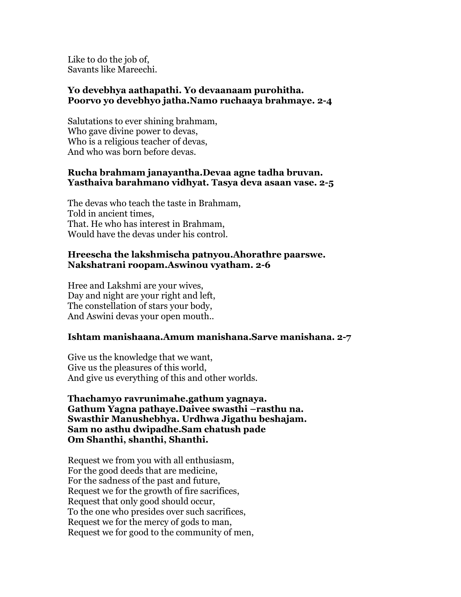Like to do the job of, Savants like Mareechi.

### Yo devebhya aathapathi. Yo devaanaam purohitha. Poorvo yo devebhyo jatha.Namo ruchaaya brahmaye. 2-4

Salutations to ever shining brahmam, Who gave divine power to devas, Who is a religious teacher of devas, And who was born before devas.

### Rucha brahmam janayantha.Devaa agne tadha bruvan. Yasthaiva barahmano vidhyat. Tasya deva asaan vase. 2-5

The devas who teach the taste in Brahmam, Told in ancient times, That. He who has interest in Brahmam, Would have the devas under his control.

# Hreescha the lakshmischa patnyou.Ahorathre paarswe. Nakshatrani roopam.Aswinou vyatham. 2-6

Hree and Lakshmi are your wives, Day and night are your right and left, The constellation of stars your body, And Aswini devas your open mouth..

### Ishtam manishaana.Amum manishana.Sarve manishana. 2-7

Give us the knowledge that we want, Give us the pleasures of this world, And give us everything of this and other worlds.

Thachamyo ravrunimahe.gathum yagnaya. Gathum Yagna pathaye.Daivee swasthi –rasthu na. Swasthir Manushebhya. Urdhwa Jigathu beshajam. Sam no asthu dwipadhe.Sam chatush pade Om Shanthi, shanthi, Shanthi.

Request we from you with all enthusiasm, For the good deeds that are medicine, For the sadness of the past and future, Request we for the growth of fire sacrifices, Request that only good should occur, To the one who presides over such sacrifices, Request we for the mercy of gods to man, Request we for good to the community of men,